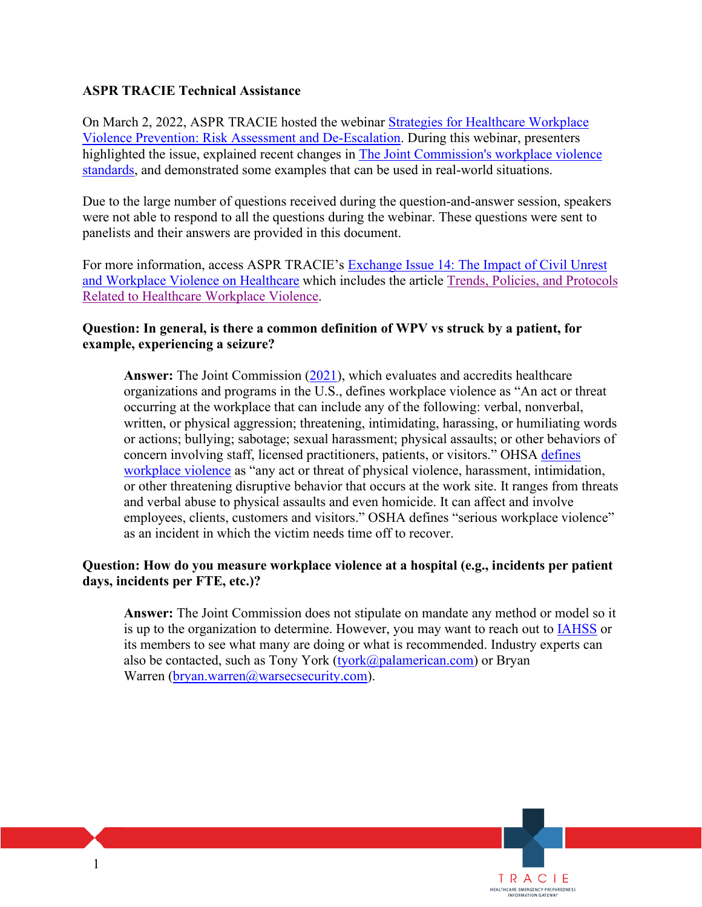### **ASPR TRACIE Technical Assistance**

On March 2, 2022, ASPR TRACIE hosted the webinar [Strategies for Healthcare Workplace](https://files.asprtracie.hhs.gov/documents/strategies-for-healthcare-workplace-violence-prevention-risk-assessment-and-de-escalation-webinar-ppt.pdf)  [Violence Prevention: Risk Assessment and De-Escalation.](https://files.asprtracie.hhs.gov/documents/strategies-for-healthcare-workplace-violence-prevention-risk-assessment-and-de-escalation-webinar-ppt.pdf) During this webinar, presenters highlighted the issue, explained recent changes in [The Joint Commission's workplace violence](https://www.jointcommission.org/resources/patient-safety-topics/workplace-violence-prevention/)  [standards,](https://www.jointcommission.org/resources/patient-safety-topics/workplace-violence-prevention/) and demonstrated some examples that can be used in real-world situations.

Due to the large number of questions received during the question-and-answer session, speakers were not able to respond to all the questions during the webinar. These questions were sent to panelists and their answers are provided in this document.

For more information, access ASPR TRACIE's [Exchange Issue 14: The Impact of Civil Unrest](https://files.asprtracie.hhs.gov/documents/aspr-tracie-the-exchange-issue14.pdf)  [and Workplace Violence on Healthcare](https://files.asprtracie.hhs.gov/documents/aspr-tracie-the-exchange-issue14.pdf) which includes the article [Trends, Policies, and Protocols](https://files.asprtracie.hhs.gov/documents/trends-policies-and-protocols-related-to-healthcare-workplace-violence.pdf)  [Related to Healthcare Workplace Violence.](https://files.asprtracie.hhs.gov/documents/trends-policies-and-protocols-related-to-healthcare-workplace-violence.pdf)

### **Question: In general, is there a common definition of WPV vs struck by a patient, for example, experiencing a seizure?**

 organizations and programs in the U.S., defines workplace violence as "An act or threat as an incident in which the victim needs time off to recover. **Answer:** The Joint Commission [\(2021\)](https://www.jointcommission.org/resources/patient-safety-topics/workplace-violence-prevention/), which evaluates and accredits healthcare occurring at the workplace that can include any of the following: verbal, nonverbal, written, or physical aggression; threatening, intimidating, harassing, or humiliating words or actions; bullying; sabotage; sexual harassment; physical assaults; or other behaviors of concern involving staff, licensed practitioners, patients, or visitors." OHSA [defines](https://www.osha.gov/SLTC/workplaceviolence/)  [workplace violence](https://www.osha.gov/SLTC/workplaceviolence/) as "any act or threat of physical violence, harassment, intimidation, or other threatening disruptive behavior that occurs at the work site. It ranges from threats and verbal abuse to physical assaults and even homicide. It can affect and involve employees, clients, customers and visitors." OSHA defines "serious workplace violence"

### **Question: How do you measure workplace violence at a hospital (e.g., incidents per patient days, incidents per FTE, etc.)?**

 **Answer:** The Joint Commission does not stipulate on mandate any method or model so it is up to the organization to determine. However, you may want to reach out to **IAHSS** or its members to see what many are doing or what is recommended. Industry experts can also be contacted, such as Tony York [\(tyork@palamerican.com\)](mailto:tyork@palamerican.com) or Bryan Warren [\(bryan.warren@warsecsecurity.com\)](mailto:bryan.warren@warsecsecurity.com).

TRACIE<br>MEALTHCARE EMERGENCY PREPAREDNESS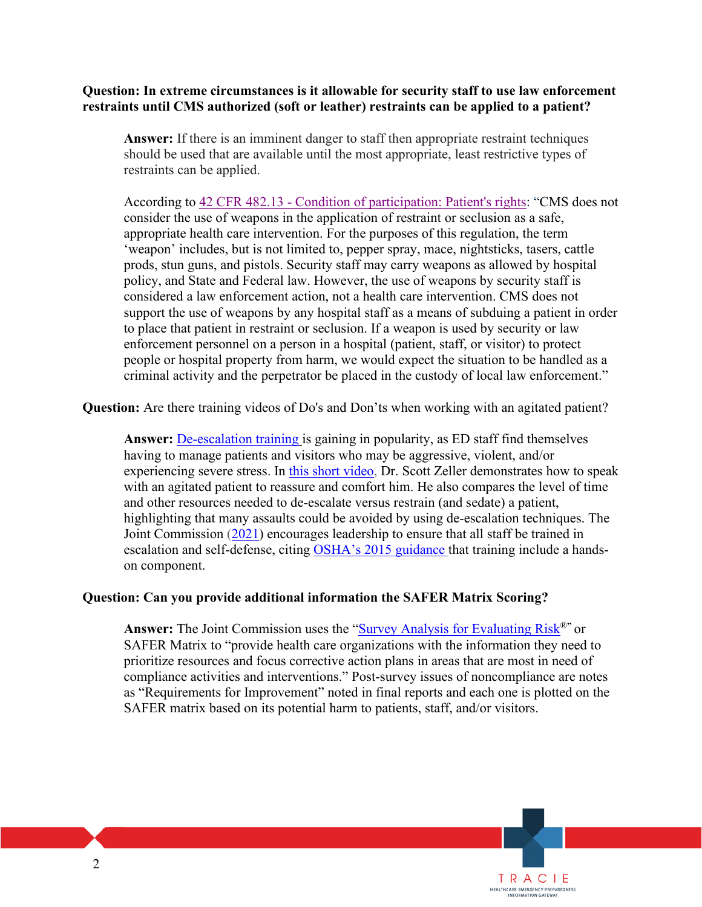# **Question: In extreme circumstances is it allowable for security staff to use law enforcement**

**restraints until CMS authorized (soft or leather) restraints can be applied to a patient?**<br>Answer: If there is an imminent danger to staff then appropriate restraint techniques should be used that are available until the most appropriate, least restrictive types of restraints can be applied.

 consider the use of weapons in the application of restraint or seclusion as a safe, appropriate health care intervention. For the purposes of this regulation, the term 'weapon' includes, but is not limited to, pepper spray, mace, nightsticks, tasers, cattle prods, stun guns, and pistols. Security staff may carry weapons as allowed by hospital policy, and State and Federal law. However, the use of weapons by security staff is considered a law enforcement action, not a health care intervention. CMS does not support the use of weapons by any hospital staff as a means of subduing a patient in order to place that patient in restraint or seclusion. If a weapon is used by security or law enforcement personnel on a person in a hospital (patient, staff, or visitor) to protect people or hospital property from harm, we would expect the situation to be handled as a criminal activity and the perpetrator be placed in the custody of local law enforcement." According to [42 CFR 482.13 - Condition of participation: Patient's rights:](https://www.govinfo.gov/content/pkg/CFR-2011-title42-vol5/pdf/CFR-2011-title42-vol5-sec482-13.pdf) "CMS does not

**Question:** Are there training videos of Do's and Don'ts when working with an agitated patient?

 and other resources needed to de-escalate versus restrain (and sedate) a patient, **Answer:** De-escalation training is gaining in popularity, as ED staff find themselves having to manage patients and visitors who may be aggressive, violent, and/or experiencing severe stress. In this short video, Dr. Scott Zeller demonstrates how to speak with an agitated patient to reassure and comfort him. He also compares the level of time highlighting that many assaults could be avoided by using de-escalation techniques. The Joint Commission (2021) encourages leadership to ensure that all staff be trained in escalation and self-defense, citing OSHA's 2015 guidance that training include a handson component.

### **Question: Can you provide additional information the SAFER Matrix Scoring?**

**Answer:** The Joint Commission uses the ["Survey Analysis for Evaluating Risk®](https://www.jointcommission.org/-/media/tjc/documents/accred-and-cert/safer-matrix/safer-infographic.pdf)**"** or SAFER Matrix to "provide health care organizations with the information they need to prioritize resources and focus corrective action plans in areas that are most in need of compliance activities and interventions." Post-survey issues of noncompliance are notes as "Requirements for Improvement" noted in final reports and each one is plotted on the SAFER matrix based on its potential harm to patients, staff, and/or visitors.

TRACIE<br>MEALTHCARE EMERGENCY PREPAREDNESS